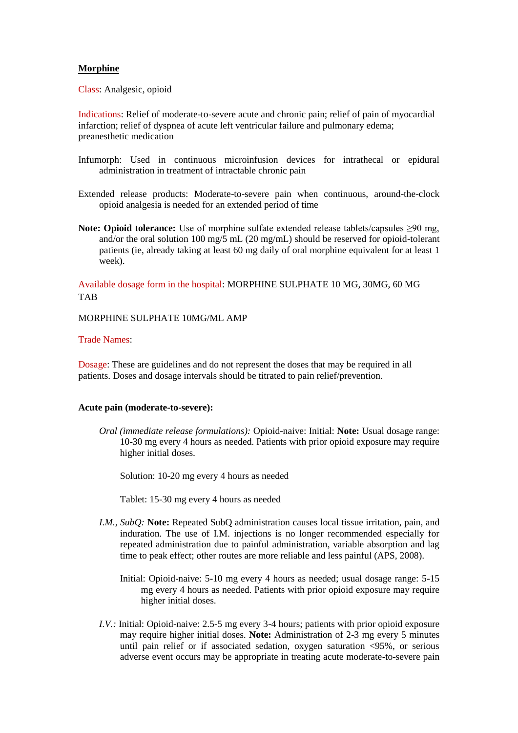## **Morphine**

Class: Analgesic, opioid

Indications: Relief of moderate-to-severe acute and chronic pain; relief of pain of myocardial infarction; relief of dyspnea of acute left ventricular failure and pulmonary edema; preanesthetic medication

- Infumorph: Used in continuous microinfusion devices for intrathecal or epidural administration in treatment of intractable chronic pain
- Extended release products: Moderate-to-severe pain when continuous, around-the-clock opioid analgesia is needed for an extended period of time
- **Note: Opioid tolerance:** Use of morphine sulfate extended release tablets/capsules >90 mg, and/or the oral solution 100 mg/5 mL (20 mg/mL) should be reserved for opioid-tolerant patients (ie, already taking at least 60 mg daily of oral morphine equivalent for at least 1 week).

Available dosage form in the hospital: MORPHINE SULPHATE 10 MG, 30MG, 60 MG TAB

MORPHINE SULPHATE 10MG/ML AMP

## Trade Names:

Dosage: These are guidelines and do not represent the doses that may be required in all patients. Doses and dosage intervals should be titrated to pain relief/prevention.

## **Acute pain (moderate-to-severe):**

*Oral (immediate release formulations):* Opioid-naive: Initial: **Note:** Usual dosage range: 10-30 mg every 4 hours as needed. Patients with prior opioid exposure may require higher initial doses.

Solution: 10-20 mg every 4 hours as needed

Tablet: 15-30 mg every 4 hours as needed

- *I.M., SubQ:* **Note:** Repeated SubQ administration causes local tissue irritation, pain, and induration. The use of I.M. injections is no longer recommended especially for repeated administration due to painful administration, variable absorption and lag time to peak effect; other routes are more reliable and less painful (APS, 2008).
	- Initial: Opioid-naive: 5-10 mg every 4 hours as needed; usual dosage range: 5-15 mg every 4 hours as needed. Patients with prior opioid exposure may require higher initial doses.
- *I.V.:* Initial: Opioid-naive: 2.5-5 mg every 3-4 hours; patients with prior opioid exposure may require higher initial doses. **Note:** Administration of 2-3 mg every 5 minutes until pain relief or if associated sedation, oxygen saturation <95%, or serious adverse event occurs may be appropriate in treating acute moderate-to-severe pain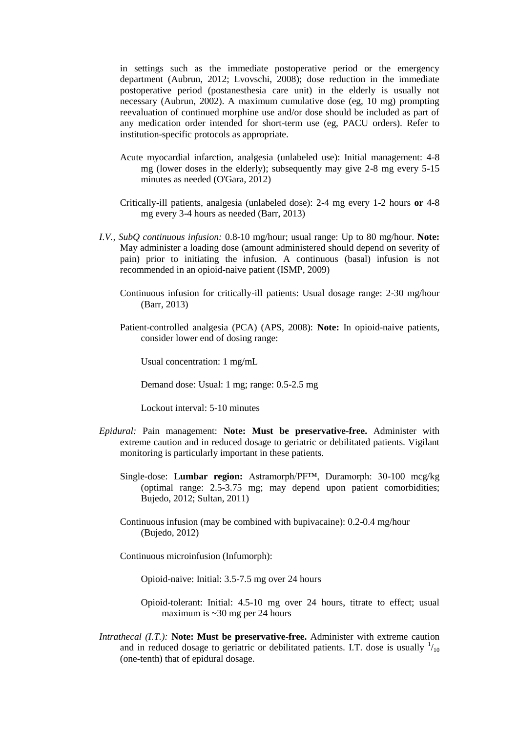in settings such as the immediate postoperative period or the emergency department (Aubrun, 2012; Lvovschi, 2008); dose reduction in the immediate postoperative period (postanesthesia care unit) in the elderly is usually not necessary (Aubrun, 2002). A maximum cumulative dose (eg, 10 mg) prompting reevaluation of continued morphine use and/or dose should be included as part of any medication order intended for short-term use (eg, PACU orders). Refer to institution-specific protocols as appropriate.

- Acute myocardial infarction, analgesia (unlabeled use): Initial management: 4-8 mg (lower doses in the elderly); subsequently may give 2-8 mg every 5-15 minutes as needed (O'Gara, 2012)
- Critically-ill patients, analgesia (unlabeled dose): 2-4 mg every 1-2 hours **or** 4-8 mg every 3-4 hours as needed (Barr, 2013)
- *I.V., SubQ continuous infusion:* 0.8-10 mg/hour; usual range: Up to 80 mg/hour. **Note:** May administer a loading dose (amount administered should depend on severity of pain) prior to initiating the infusion. A continuous (basal) infusion is not recommended in an opioid-naive patient (ISMP, 2009)
	- Continuous infusion for critically-ill patients: Usual dosage range: 2-30 mg/hour (Barr, 2013)
	- Patient-controlled analgesia (PCA) (APS, 2008): **Note:** In opioid-naive patients, consider lower end of dosing range:

Usual concentration: 1 mg/mL

Demand dose: Usual: 1 mg; range: 0.5-2.5 mg

Lockout interval: 5-10 minutes

- *Epidural:* Pain management: **Note: Must be preservative-free.** Administer with extreme caution and in reduced dosage to geriatric or debilitated patients. Vigilant monitoring is particularly important in these patients.
	- Single-dose: **Lumbar region:** Astramorph/PF™, Duramorph: 30-100 mcg/kg (optimal range: 2.5-3.75 mg; may depend upon patient comorbidities; Bujedo, 2012; Sultan, 2011)
	- Continuous infusion (may be combined with bupivacaine): 0.2-0.4 mg/hour (Bujedo, 2012)

Continuous microinfusion (Infumorph):

Opioid-naive: Initial: 3.5-7.5 mg over 24 hours

- Opioid-tolerant: Initial: 4.5-10 mg over 24 hours, titrate to effect; usual maximum is ~30 mg per 24 hours
- *Intrathecal (I.T.):* **Note: Must be preservative-free.** Administer with extreme caution and in reduced dosage to geriatric or debilitated patients. I.T. dose is usually  $\frac{1}{10}$ (one-tenth) that of epidural dosage.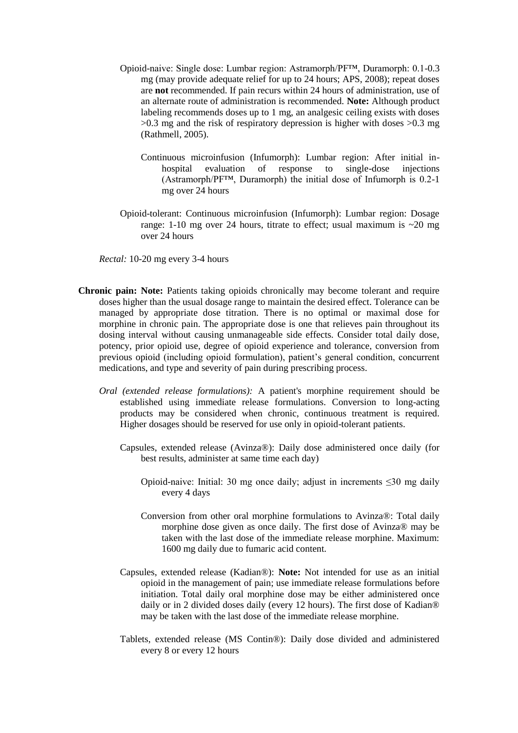- Opioid-naive: Single dose: Lumbar region: Astramorph/PF™, Duramorph: 0.1-0.3 mg (may provide adequate relief for up to 24 hours; APS, 2008); repeat doses are **not** recommended. If pain recurs within 24 hours of administration, use of an alternate route of administration is recommended. **Note:** Although product labeling recommends doses up to 1 mg, an analgesic ceiling exists with doses >0.3 mg and the risk of respiratory depression is higher with doses >0.3 mg (Rathmell, 2005).
	- Continuous microinfusion (Infumorph): Lumbar region: After initial inhospital evaluation of response to single-dose injections (Astramorph/PF™, Duramorph) the initial dose of Infumorph is 0.2-1 mg over 24 hours
- Opioid-tolerant: Continuous microinfusion (Infumorph): Lumbar region: Dosage range: 1-10 mg over 24 hours, titrate to effect; usual maximum is  $\sim$ 20 mg over 24 hours

*Rectal:* 10-20 mg every 3-4 hours

- **Chronic pain: Note:** Patients taking opioids chronically may become tolerant and require doses higher than the usual dosage range to maintain the desired effect. Tolerance can be managed by appropriate dose titration. There is no optimal or maximal dose for morphine in chronic pain. The appropriate dose is one that relieves pain throughout its dosing interval without causing unmanageable side effects. Consider total daily dose, potency, prior opioid use, degree of opioid experience and tolerance, conversion from previous opioid (including opioid formulation), patient's general condition, concurrent medications, and type and severity of pain during prescribing process.
	- *Oral (extended release formulations):* A patient's morphine requirement should be established using immediate release formulations. Conversion to long-acting products may be considered when chronic, continuous treatment is required. Higher dosages should be reserved for use only in opioid-tolerant patients.
		- Capsules, extended release (Avinza®): Daily dose administered once daily (for best results, administer at same time each day)
			- Opioid-naive: Initial: 30 mg once daily; adjust in increments ≤30 mg daily every 4 days
			- Conversion from other oral morphine formulations to Avinza®: Total daily morphine dose given as once daily. The first dose of Avinza® may be taken with the last dose of the immediate release morphine. Maximum: 1600 mg daily due to fumaric acid content.
		- Capsules, extended release (Kadian®): **Note:** Not intended for use as an initial opioid in the management of pain; use immediate release formulations before initiation. Total daily oral morphine dose may be either administered once daily or in 2 divided doses daily (every 12 hours). The first dose of Kadian® may be taken with the last dose of the immediate release morphine.
		- Tablets, extended release (MS Contin®): Daily dose divided and administered every 8 or every 12 hours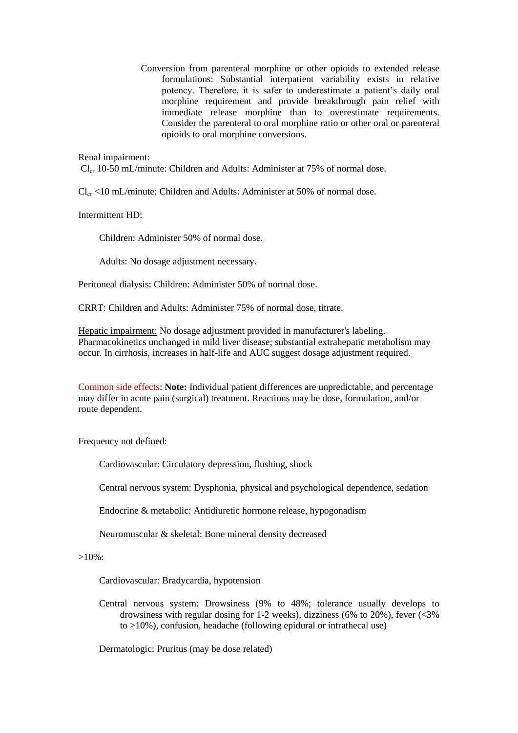Conversion from parenteral morphine or other opioids to extended release formulations: Substantial interpatient variability exists in relative potency. Therefore, it is safer to underestimate a patient's daily oral morphine requirement and provide breakthrough pain relief with immediate release morphine than to overestimate requirements. Consider the parenteral to oral morphine ratio or other oral or parenteral opioids to oral morphine conversions.

## Renal impairment:

 $Cl_{cr}$  10-50 mL/minute: Children and Adults: Administer at 75% of normal dose.

 $Cl_{cr}$  <10 mL/minute: Children and Adults: Administer at 50% of normal dose.

Intermittent HD:

Children: Administer 50% of normal dose.

Adults: No dosage adjustment necessary.

Peritoneal dialysis: Children: Administer 50% of normal dose.

CRRT: Children and Adults: Administer 75% of normal dose, titrate.

Hepatic impairment: No dosage adjustment provided in manufacturer's labeling. Pharmacokinetics unchanged in mild liver disease; substantial extrahepatic metabolism may occur. In cirrhosis, increases in half-life and AUC suggest dosage adjustment required.

Common side effects: **Note:** Individual patient differences are unpredictable, and percentage may differ in acute pain (surgical) treatment. Reactions may be dose, formulation, and/or route dependent.

Frequency not defined:

Cardiovascular: Circulatory depression, flushing, shock

Central nervous system: Dysphonia, physical and psychological dependence, sedation

Endocrine & metabolic: Antidiuretic hormone release, hypogonadism

Neuromuscular & skeletal: Bone mineral density decreased

 $>10\%$ :

Cardiovascular: Bradycardia, hypotension

Central nervous system: Drowsiness (9% to 48%; tolerance usually develops to drowsiness with regular dosing for 1-2 weeks), dizziness (6% to 20%), fever  $\left(\langle 3\% \rangle\right)$ to >10%), confusion, headache (following epidural or intrathecal use)

Dermatologic: Pruritus (may be dose related)